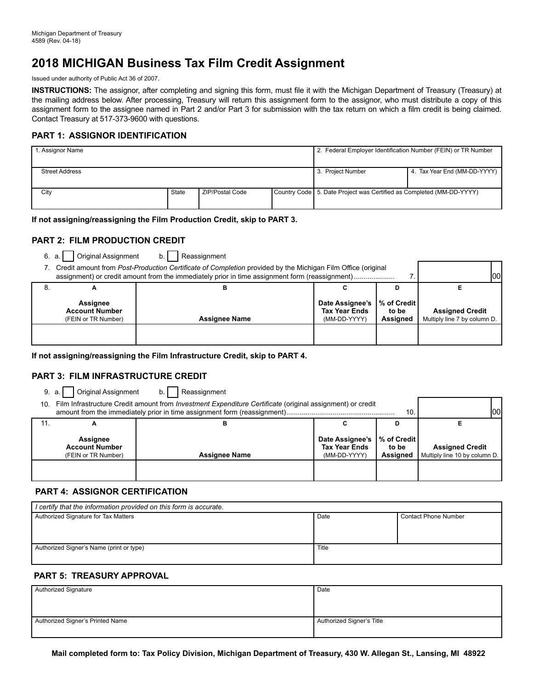# **2018 MICHIGAN Business Tax Film Credit Assignment**

Issued under authority of Public Act 36 of 2007.

**INSTRUCTIONS:** The assignor, after completing and signing this form, must file it with the Michigan Department of Treasury (Treasury) at the mailing address below. After processing, Treasury will return this assignment form to the assignor, who must distribute a copy of this assignment form to the assignee named in Part 2 and/or Part 3 for submission with the tax return on which a film credit is being claimed. Contact Treasury at 517-373-9600 with questions.

### **PART 1: ASSIGNOR IDENTIFICATION**

| 1. Assignor Name      |       |                        | 2. Federal Employer Identification Number (FEIN) or TR Number          |                              |
|-----------------------|-------|------------------------|------------------------------------------------------------------------|------------------------------|
| <b>Street Address</b> |       |                        | 3. Project Number                                                      | 4. Tax Year End (MM-DD-YYYY) |
| City                  | State | <b>ZIP/Postal Code</b> | Country Code   5. Date Project was Certified as Completed (MM-DD-YYYY) |                              |

#### **If not assigning/reassigning the Film Production Credit, skip to PART 3.**

### **PART 2: FILM PRODUCTION CREDIT**

6. a. Original Assignment b. Reassignment

| Credit amount from Post-Production Certificate of Completion provided by the Michigan Film Office (original<br>assignment) or credit amount from the immediately prior in time assignment form (reassignment) |                      |                                                         |                                      | lool                                                   |
|---------------------------------------------------------------------------------------------------------------------------------------------------------------------------------------------------------------|----------------------|---------------------------------------------------------|--------------------------------------|--------------------------------------------------------|
|                                                                                                                                                                                                               |                      |                                                         |                                      |                                                        |
| <b>Assignee</b><br><b>Account Number</b><br>(FEIN or TR Number)                                                                                                                                               | <b>Assignee Name</b> | Date Assignee's<br><b>Tax Year Ends</b><br>(MM-DD-YYYY) | l % of Credit l<br>to be<br>Assigned | <b>Assigned Credit</b><br>Multiply line 7 by column D. |
|                                                                                                                                                                                                               |                      |                                                         |                                      |                                                        |

**If not assigning/reassigning the Film Infrastructure Credit, skip to PART 4.** 

### **PART 3: FILM INFRASTRUCTURE CREDIT**

9. a. Original Assignment b. Reassignment

| 10. | Film Infrastructure Credit amount from <i>Investment Expenditure Certificate</i> (original assignment) or credit<br>10 <sub>1</sub> |                      |                                                         |                                     | lool                                                    |
|-----|-------------------------------------------------------------------------------------------------------------------------------------|----------------------|---------------------------------------------------------|-------------------------------------|---------------------------------------------------------|
| 11. |                                                                                                                                     |                      |                                                         |                                     |                                                         |
|     | Assignee<br><b>Account Number</b><br>(FEIN or TR Number)                                                                            | <b>Assignee Name</b> | Date Assignee's<br><b>Tax Year Ends</b><br>(MM-DD-YYYY) | │% of Credit I<br>to be<br>Assigned | <b>Assigned Credit</b><br>Multiply line 10 by column D. |
|     |                                                                                                                                     |                      |                                                         |                                     |                                                         |

### **PART 4: ASSIGNOR CERTIFICATION**

| I certify that the information provided on this form is accurate. |       |                             |  |
|-------------------------------------------------------------------|-------|-----------------------------|--|
| Authorized Signature for Tax Matters                              | Date  | <b>Contact Phone Number</b> |  |
|                                                                   |       |                             |  |
|                                                                   |       |                             |  |
| Authorized Signer's Name (print or type)                          | Title |                             |  |
|                                                                   |       |                             |  |

### **PART 5: TREASURY APPROVAL**

| Authorized Signature             | Date                      |
|----------------------------------|---------------------------|
|                                  |                           |
|                                  |                           |
| Authorized Signer's Printed Name | Authorized Signer's Title |
|                                  |                           |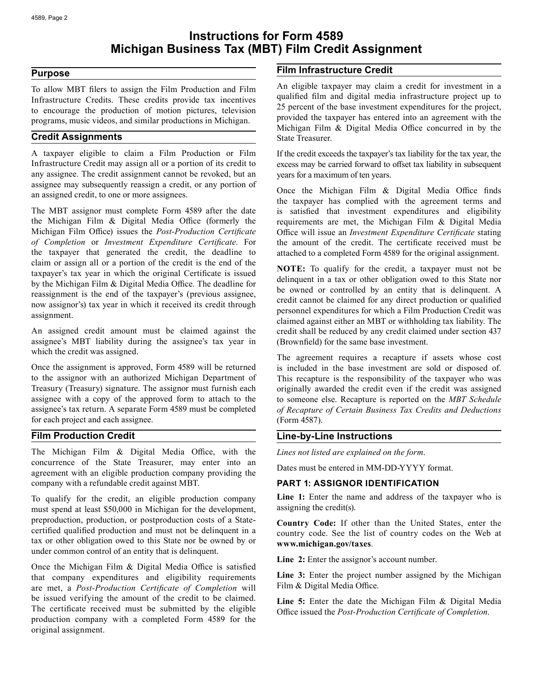# **Instructions for Form 4589 Michigan Business Tax (MBT) Film Credit Assignment**

## **Purpose**

To allow MBT filers to assign the Film Production and Film Infrastructure Credits. These credits provide tax incentives to encourage the production of motion pictures, television programs, music videos, and similar productions in Michigan.

## **Credit Assignments**

A taxpayer eligible to claim a Film Production or Film Infrastructure Credit may assign all or a portion of its credit to any assignee. The credit assignment cannot be revoked, but an assignee may subsequently reassign a credit, or any portion of an assigned credit, to one or more assignees.

 Michigan Film Office) issues the *Post-Production Certificate* The MBT assignor must complete Form 4589 after the date the Michigan Film & Digital Media Office (formerly the *of Completion* or *Investment Expenditure Certificate*. For the taxpayer that generated the credit, the deadline to claim or assign all or a portion of the credit is the end of the taxpayer's tax year in which the original Certificate is issued by the Michigan Film & Digital Media Office. The deadline for reassignment is the end of the taxpayer's (previous assignee, now assignor's) tax year in which it received its credit through assignment.

An assigned credit amount must be claimed against the assignee's MBT liability during the assignee's tax year in which the credit was assigned.

Once the assignment is approved, Form 4589 will be returned to the assignor with an authorized Michigan Department of Treasury (Treasury) signature. The assignor must furnish each assignee with a copy of the approved form to attach to the assignee's tax return. A separate Form 4589 must be completed for each project and each assignee.

# **Film Production Credit**

The Michigan Film & Digital Media Office, with the concurrence of the State Treasurer, may enter into an agreement with an eligible production company providing the company with a refundable credit against MBT.

 preproduction, production, or postproduction costs of a State-To qualify for the credit, an eligible production company must spend at least \$50,000 in Michigan for the development, certified qualified production and must not be delinquent in a tax or other obligation owed to this State nor be owned by or under common control of an entity that is delinquent.

 Once the Michigan Film & Digital Media Office is satisfied that company expenditures and eligibility requirements are met, a *Post-Production Certificate of Completion* will be issued verifying the amount of the credit to be claimed. The certificate received must be submitted by the eligible production company with a completed Form 4589 for the original assignment.

# **Film Infrastructure Credit**

An eligible taxpayer may claim a credit for investment in a qualified film and digital media infrastructure project up to 25 percent of the base investment expenditures for the project, provided the taxpayer has entered into an agreement with the Michigan Film & Digital Media Office concurred in by the State Treasurer.

If the credit exceeds the taxpayer's tax liability for the tax year, the excess may be carried forward to offset tax liability in subsequent years for a maximum of ten years.

 Once the Michigan Film & Digital Media Office finds Office will issue an *Investment Expenditure Certificate* stating the taxpayer has complied with the agreement terms and is satisfied that investment expenditures and eligibility requirements are met, the Michigan Film & Digital Media the amount of the credit. The certificate received must be attached to a completed Form 4589 for the original assignment.

**NOTE:** To qualify for the credit, a taxpayer must not be delinquent in a tax or other obligation owed to this State nor be owned or controlled by an entity that is delinquent. A credit cannot be claimed for any direct production or qualified personnel expenditures for which a Film Production Credit was claimed against either an MBT or withholding tax liability. The credit shall be reduced by any credit claimed under section 437 (Brownfield) for the same base investment.

The agreement requires a recapture if assets whose cost is included in the base investment are sold or disposed of. This recapture is the responsibility of the taxpayer who was originally awarded the credit even if the credit was assigned to someone else. Recapture is reported on the *MBT Schedule of Recapture of Certain Business Tax Credits and Deductions*  (Form 4587).

# **Line-by-Line Instructions**

*Lines not listed are explained on the form*.

Dates must be entered in MM-DD-YYYY format.

### **PART 1: ASSIGNOR IDENTIFICATION**

Line 1: Enter the name and address of the taxpayer who is assigning the credit(s).

**Country Code:** If other than the United States, enter the country code. See the list of country codes on the Web at **www.michigan.gov/taxes**.

**Line 2:** Enter the assignor's account number.

Line 3: Enter the project number assigned by the Michigan Film & Digital Media Office.

**Line 5:** Enter the date the Michigan Film & Digital Media Office issued the *Post-Production Certificate of Completion*.